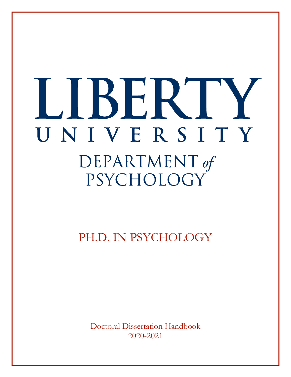# LJBERT UNIVERSITY DEPARTMENT of PSYCHOLOGY

PH.D. IN PSYCHOLOGY

Doctoral Dissertation Handbook 2020-2021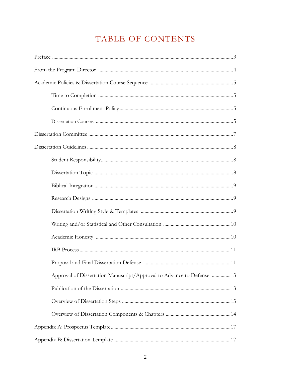# TABLE OF CONTENTS

| Approval of Dissertation Manuscript/Approval to Advance to Defense 13 |
|-----------------------------------------------------------------------|
|                                                                       |
|                                                                       |
|                                                                       |
|                                                                       |
|                                                                       |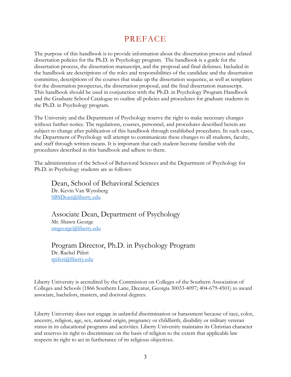# PREFACE

The purpose of this handbook is to provide information about the dissertation process and related dissertation policies for the Ph.D. in Psychology program. The handbook is a guide for the dissertation process, the dissertation manuscript, and the proposal and final defenses. Included in the handbook are descriptions of the roles and responsibilities of the candidate and the dissertation committee, descriptions of the courses that make up the dissertation sequence, as well as templates for the dissertation prospectus, the dissertation proposal, and the final dissertation manuscript. This handbook should be used in conjunction with the Ph.D. in Psychology Program Handbook and the Graduate School Catalogue to outline all policies and procedures for graduate students in the Ph.D. in Psychology program.

The University and the Department of Psychology reserve the right to make necessary changes without further notice. The regulations, courses, personnel, and procedures described herein are subject to change after publication of this handbook through established procedures. In such cases, the Department of Psychology will attempt to communicate these changes to all students, faculty, and staff through written means. It is important that each student become familiar with the procedures described in this handbook and adhere to them.

The administration of the School of Behavioral Sciences and the Department of Psychology for Ph.D. in Psychology students are as follows:

Dean, School of Behavioral Sciences Dr. Kevin Van Wynsberg SBSDean@liberty.edu

Associate Dean, Department of Psychology Mr. Shawn George smgeorge@liberty.edu

Program Director, Ph.D. in Psychology Program Dr. Rachel Piferi rpiferi@liberty.edu

Liberty University is accredited by the Commission on Colleges of the Southern Association of Colleges and Schools (1866 Southern Lane, Decatur, Georgia 30033-4097; 404-679-4501) to award associate, bachelors, masters, and doctoral degrees.

Liberty University does not engage in unlawful discrimination or harassment because of race, color, ancestry, religion, age, sex, national origin, pregnancy or childbirth, disability or military veteran status in its educational programs and activities. Liberty University maintains its Christian character and reserves its right to discriminate on the basis of religion to the extent that applicable law respects its right to act in furtherance of its religious objectives.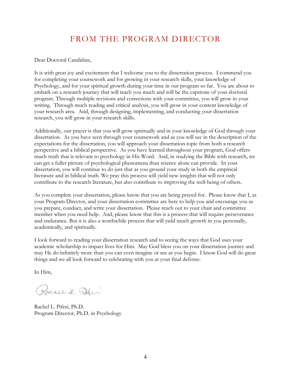# FROM THE PROGRAM DIRECTOR

Dear Doctoral Candidate,

It is with great joy and excitement that I welcome you to the dissertation process. I commend you for completing your coursework and for growing in your research skills, your knowledge of Psychology, and for your spiritual growth during your time in our program so far. You are about to embark on a research journey that will teach you much and will be the capstone of your doctoral program. Through multiple revisions and corrections with your committee, you will grow in your writing. Through much reading and critical analysis, you will grow in your content knowledge of your research area. And, through designing, implementing, and conducting your dissertation research, you will grow in your research skills.

Additionally, our prayer is that you will grow spiritually and in your knowledge of God through your dissertation. As you have seen through your coursework and as you will see in the description of the expectations for the dissertation, you will approach your dissertation topic from both a research perspective and a biblical perspective. As you have learned throughout your program, God offers much truth that is relevant to psychology in His Word. And, in studying the Bible with research, we can get a fuller picture of psychological phenomena than science alone can provide. In your dissertation, you will continue to do just that as you ground your study in both the empirical literature and in biblical truth. We pray this process will yield new insights that will not only contribute to the research literature, but also contribute to improving the well-being of others.

As you complete your dissertation, please know that you are being prayed for. Please know that I, as your Program Director, and your dissertation committee are here to help you and encourage you as you prepare, conduct, and write your dissertation. Please reach out to your chair and committee member when you need help. And, please know that this is a process that will require perseverance and endurance. But it is also a worthwhile process that will yield much growth in you personally, academically, and spiritually.

I look forward to reading your dissertation research and to seeing the ways that God uses your academic scholarship to impact lives for Him. May God bless you on your dissertation journey and may He do infinitely more than you can even imagine or see as you begin. I know God will do great things and we all look forward to celebrating with you at your final defense.

In Him,

Racace L. Oder

Rachel L. Piferi, Ph.D. Program Director, Ph.D. in Psychology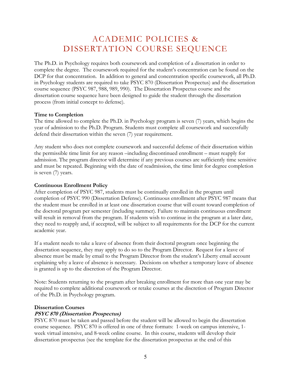# ACADEMIC POLICIES & DISSERTATION COURSE SEQUENCE

The Ph.D. in Psychology requires both coursework and completion of a dissertation in order to complete the degree. The coursework required for the student's concentration can be found on the DCP for that concentration. In addition to general and concentration specific coursework, all Ph.D. in Psychology students are required to take PSYC 870 (Dissertation Prospectus) and the dissertation course sequence (PSYC 987, 988, 989, 990). The Dissertation Prospectus course and the dissertation course sequence have been designed to guide the student through the dissertation process (from initial concept to defense).

#### **Time to Completion**

The time allowed to complete the Ph.D. in Psychology program is seven (7) years, which begins the year of admission to the Ph.D. Program. Students must complete all coursework and successfully defend their dissertation within the seven (7) year requirement.

Any student who does not complete coursework and successful defense of their dissertation within the permissible time limit for any reason –including discontinued enrollment – must reapply for admission. The program director will determine if any previous courses are sufficiently time sensitive and must be repeated. Beginning with the date of readmission, the time limit for degree completion is seven (7) years.

## **Continuous Enrollment Policy**

After completion of PSYC 987, students must be continually enrolled in the program until completion of PSYC 990 (Dissertation Defense). Continuous enrollment after PSYC 987 means that the student must be enrolled in at least one dissertation course that will count toward completion of the doctoral program per semester (including summer). Failure to maintain continuous enrollment will result in removal from the program. If students wish to continue in the program at a later date, they need to reapply and, if accepted, will be subject to all requirements for the DCP for the current academic year.

If a student needs to take a leave of absence from their doctoral program once beginning the dissertation sequence, they may apply to do so to the Program Director. Request for a leave of absence must be made by email to the Program Director from the student's Liberty email account explaining why a leave of absence is necessary. Decisions on whether a temporary leave of absence is granted is up to the discretion of the Program Director.

Note: Students returning to the program after breaking enrollment for more than one year may be required to complete additional coursework or retake courses at the discretion of Program Director of the Ph.D. in Psychology program.

#### **Dissertation Courses**

# **PSYC 870 (Dissertation Prospectus)**

PSYC 870 must be taken and passed before the student will be allowed to begin the dissertation course sequence. PSYC 870 is offered in one of three formats: 1-week on campus intensive, 1 week virtual intensive, and 8-week online course. In this course, students will develop their dissertation prospectus (see the template for the dissertation prospectus at the end of this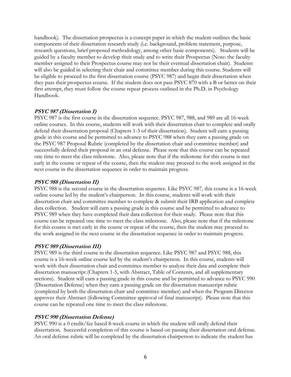handbook). The dissertation prospectus is a concept paper in which the student outlines the basic components of their dissertation research study (i.e. background, problem statement, purpose, research questions, brief proposed methodology, among other basic components). Students will be guided by a faculty member to develop their study and to write their Prospectus (Note: the faculty member assigned to their Prospectus course may not be their eventual dissertation chair). Students will also be guided in selecting their chair and committee member during this course. Students will be eligible to proceed to the first dissertation course (PSYC 987) and begin their dissertation when they pass their prospectus course. If the student does not pass PSYC 870 with a B or better on their first attempt, they must follow the course repeat process outlined in the Ph.D. in Psychology Handbook.

## **PSYC 987 (Dissertation I)**

PSYC 987 is the first course in the dissertation sequence. PSYC 987, 988, and 989 are all 16-week online courses. In this course, students will work with their dissertation chair to complete and orally defend their dissertation proposal (Chapters 1-3 of their dissertation). Student will earn a passing grade in this course and be permitted to advance to PSYC 988 when they earn a passing grade on the PSYC 987 Proposal Rubric (completed by the dissertation chair and committee member) and successfully defend their proposal in an oral defense. Please note that this course can be repeated one time to meet the class milestone. Also, please note that if the milestone for this course is met early in the course or repeat of the course, then the student may proceed to the work assigned in the next course in the dissertation sequence in order to maintain progress.

## **PSYC 988 (Dissertation II)**

PSYC 988 is the second course in the dissertation sequence. Like PSYC 987, this course is a 16-week online course led by the student's chairperson. In this course, students will work with their dissertation chair and committee member to complete & submit their IRB application and complete data collection. Student will earn a passing grade in this course and be permitted to advance to PSYC 989 when they have completed their data collection for their study. Please note that this course can be repeated one time to meet the class milestone. Also, please note that if the milestone for this course is met early in the course or repeat of the course, then the student may proceed to the work assigned in the next course in the dissertation sequence in order to maintain progress.

#### **PSYC 989 (Dissertation III)**

PSYC 989 is the third course in the dissertation sequence. Like PSYC 987 and PSYC 988, this course is a 16-week online course led by the student's chairperson. In this course, students will work with their dissertation chair and committee member to analyze their data and complete their dissertation manuscript (Chapters 1-5, with Abstract, Table of Contents, and all supplementary sections). Student will earn a passing grade in this course and be permitted to advance to PSYC 990 (Dissertation Defense) when they earn a passing grade on the dissertation manuscript rubric (completed by both the dissertation chair and committee member) and when the Program Director approves their Abstract (following Committee approval of final manuscript). Please note that this course can be repeated one time to meet the class milestone.

# **PSYC 990 (Dissertation Defense)**

PSYC 990 is a 0 credit/fee based 8-week course in which the student will orally defend their dissertation. Successful completion of this course is based on passing their dissertation oral defense. An oral defense rubric will be completed by the dissertation chairperson to indicate the student has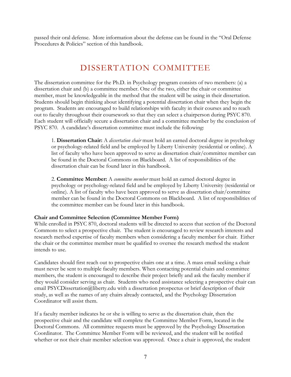passed their oral defense. More information about the defense can be found in the "Oral Defense Procedures & Policies" section of this handbook.

# DISSERTATION COMMITTEE

The dissertation committee for the Ph.D. in Psychology program consists of two members: (a) a dissertation chair and (b) a committee member. One of the two, either the chair or committee member, must be knowledgeable in the method that the student will be using in their dissertation. Students should begin thinking about identifying a potential dissertation chair when they begin the program. Students are encouraged to build relationships with faculty in their courses and to reach out to faculty throughout their coursework so that they can select a chairperson during PSYC 870. Each student will officially secure a dissertation chair and a committee member by the conclusion of PSYC 870. A candidate's dissertation committee must include the following:

1. **Dissertation Chair:** A *dissertation chair* must hold an earned doctoral degree in psychology or psychology-related field and be employed by Liberty University (residential or online). A list of faculty who have been approved to serve as dissertation chair/committee member can be found in the Doctoral Commons on Blackboard. A list of responsibilities of the dissertation chair can be found later in this handbook.

2. **Committee Member:** A *committee member* must hold an earned doctoral degree in psychology or psychology-related field and be employed by Liberty University (residential or online). A list of faculty who have been approved to serve as dissertation chair/committee member can be found in the Doctoral Commons on Blackboard. A list of responsibilities of the committee member can be found later in this handbook.

#### **Chair and Committee Selection (Committee Member Form)**

While enrolled in PSYC 870, doctoral students will be directed to access that section of the Doctoral Commons to select a prospective chair. The student is encouraged to review research interests and research method expertise of faculty members when considering a faculty member for chair. Either the chair or the committee member must be qualified to oversee the research method the student intends to use.

Candidates should first reach out to prospective chairs one at a time. A mass email seeking a chair must never be sent to multiple faculty members. When contacting potential chairs and committee members, the student is encouraged to describe their project briefly and ask the faculty member if they would consider serving as chair. Students who need assistance selecting a prospective chair can email PSYCDissertation@liberty.edu with a dissertation prospectus or brief description of their study, as well as the names of any chairs already contacted, and the Psychology Dissertation Coordinator will assist them.

If a faculty member indicates he or she is willing to serve as the dissertation chair, then the prospective chair and the candidate will complete the Committee Member Form, located in the Doctoral Commons. All committee requests must be approved by the Psychology Dissertation Coordinator. The Committee Member Form will be reviewed, and the student will be notified whether or not their chair member selection was approved. Once a chair is approved, the student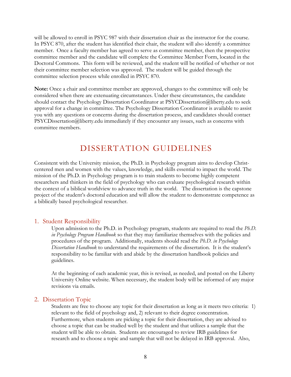will be allowed to enroll in PSYC 987 with their dissertation chair as the instructor for the course. In PSYC 870, after the student has identified their chair, the student will also identify a committee member. Once a faculty member has agreed to serve as committee member, then the prospective committee member and the candidate will complete the Committee Member Form, located in the Doctoral Commons. This form will be reviewed, and the student will be notified of whether or not their committee member selection was approved. The student will be guided through the committee selection process while enrolled in PSYC 870.

**Note:** Once a chair and committee member are approved, changes to the committee will only be considered when there are extenuating circumstances. Under these circumstances, the candidate should contact the Psychology Dissertation Coordinator at PSYCDissertation@liberty.edu to seek approval for a change in committee. The Psychology Dissertation Coordinator is available to assist you with any questions or concerns during the dissertation process, and candidates should contact PSYCDissertation@liberty.edu immediately if they encounter any issues, such as concerns with committee members.

# DISSERTATION GUIDELINES

Consistent with the University mission, the Ph.D. in Psychology program aims to develop Christcentered men and women with the values, knowledge, and skills essential to impact the world. The mission of the Ph.D. in Psychology program is to train students to become highly competent researchers and thinkers in the field of psychology who can evaluate psychological research within the context of a biblical worldview to advance truth in the world. The dissertation is the capstone project of the student's doctoral education and will allow the student to demonstrate competence as a biblically based psychological researcher.

#### 1. Student Responsibility

Upon admission to the Ph.D. in Psychology program, students are required to read the *Ph.D. in Psychology Program Handbook* so that they may familiarize themselves with the policies and procedures of the program. Additionally, students should read the *Ph.D. in Psychology Dissertation Handbook* to understand the requirements of the dissertation. It is the student's responsibility to be familiar with and abide by the dissertation handbook policies and guidelines.

At the beginning of each academic year, this is revised, as needed, and posted on the Liberty University Online website. When necessary, the student body will be informed of any major revisions via emails.

#### 2. Dissertation Topic

Students are free to choose any topic for their dissertation as long as it meets two criteria: 1) relevant to the field of psychology and, 2) relevant to their degree concentration. Furthermore, when students are picking a topic for their dissertation, they are advised to choose a topic that can be studied well by the student and that utilizes a sample that the student will be able to obtain. Students are encouraged to review IRB guidelines for research and to choose a topic and sample that will not be delayed in IRB approval. Also,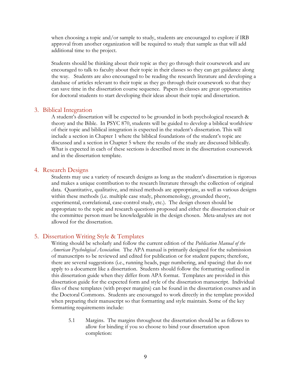when choosing a topic and/or sample to study, students are encouraged to explore if IRB approval from another organization will be required to study that sample as that will add additional time to the project.

Students should be thinking about their topic as they go through their coursework and are encouraged to talk to faculty about their topic in their classes so they can get guidance along the way. Students are also encouraged to be reading the research literature and developing a database of articles relevant to their topic as they go through their coursework so that they can save time in the dissertation course sequence. Papers in classes are great opportunities for doctoral students to start developing their ideas about their topic and dissertation.

#### 3. Biblical Integration

A student's dissertation will be expected to be grounded in both psychological research & theory and the Bible. In PSYC 870, students will be guided to develop a biblical worldview of their topic and biblical integration is expected in the student's dissertation. This will include a section in Chapter 1 where the biblical foundations of the student's topic are discussed and a section in Chapter 5 where the results of the study are discussed biblically. What is expected in each of these sections is described more in the dissertation coursework and in the dissertation template.

#### 4. Research Designs

Students may use a variety of research designs as long as the student's dissertation is rigorous and makes a unique contribution to the research literature through the collection of original data. Quantitative, qualitative, and mixed methods are appropriate, as well as various designs within these methods (i.e. multiple case study, phenomenology, grounded theory, experimental, correlational, case-control study, etc.). The design chosen should be appropriate to the topic and research questions proposed and either the dissertation chair or the committee person must be knowledgeable in the design chosen. Meta-analyses are not allowed for the dissertation.

#### 5. Dissertation Writing Style & Templates

Writing should be scholarly and follow the current edition of the *Publication Manual of the American Psychological Association.* The APA manual is primarily designed for the submission of manuscripts to be reviewed and edited for publication or for student papers; therefore, there are several suggestions (i.e., running heads, page numbering, and spacing) that do not apply to a document like a dissertation. Students should follow the formatting outlined in this dissertation guide when they differ from APA format. Templates are provided in this dissertation guide for the expected form and style of the dissertation manuscript. Individual files of these templates (with proper margins) can be found in the dissertation courses and in the Doctoral Commons. Students are encouraged to work directly in the template provided when preparing their manuscript so that formatting and style maintain. Some of the key formatting requirements include:

5.1 Margins. The margins throughout the dissertation should be as follows to allow for binding if you so choose to bind your dissertation upon completion: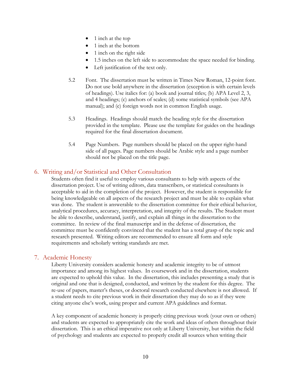- 1 inch at the top
- 1 inch at the bottom
- 1 inch on the right side
- 1.5 inches on the left side to accommodate the space needed for binding.
- Left justification of the text only.
- 5.2 Font. The dissertation must be written in Times New Roman, 12-point font. Do not use bold anywhere in the dissertation (exception is with certain levels of headings). Use italics for: (a) book and journal titles; (b) APA Level 2, 3, and 4 headings; (c) anchors of scales; (d) some statistical symbols (see APA manual); and (e) foreign words not in common English usage.
- 5.3 Headings. Headings should match the heading style for the dissertation provided in the template. Please use the template for guides on the headings required for the final dissertation document.
- 5.4 Page Numbers. Page numbers should be placed on the upper right-hand side of all pages. Page numbers should be Arabic style and a page number should not be placed on the title page.

# 6. Writing and/or Statistical and Other Consultation

Students often find it useful to employ various consultants to help with aspects of the dissertation project. Use of writing editors, data transcribers, or statistical consultants is acceptable to aid in the completion of the project. However, the student is responsible for being knowledgeable on all aspects of the research project and must be able to explain what was done. The student is answerable to the dissertation committee for their ethical behavior, analytical procedures, accuracy, interpretation, and integrity of the results. The Student must be able to describe, understand, justify, and explain all things in the dissertation to the committee. In review of the final manuscript and in the defense of dissertation, the committee must be confidently convinced that the student has a total grasp of the topic and research presented. Writing editors are recommended to ensure all form and style requirements and scholarly writing standards are met.

# 7. Academic Honesty

Liberty University considers academic honesty and academic integrity to be of utmost importance and among its highest values. In coursework and in the dissertation, students are expected to uphold this value. In the dissertation, this includes presenting a study that is original and one that is designed, conducted, and written by the student for this degree. The re-use of papers, master's theses, or doctoral research conducted elsewhere is not allowed. If a student needs to cite previous work in their dissertation they may do so as if they were citing anyone else's work, using proper and current APA guidelines and format.

A key component of academic honesty is properly citing previous work (your own or others) and students are expected to appropriately cite the work and ideas of others throughout their dissertation. This is an ethical imperative not only at Liberty University, but within the field of psychology and students are expected to properly credit all sources when writing their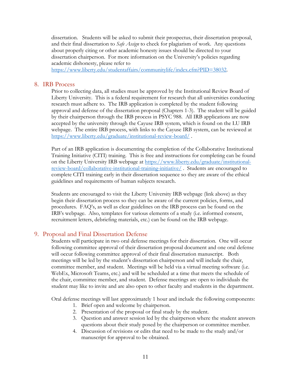dissertation. Students will be asked to submit their prospectus, their dissertation proposal, and their final dissertation to *Safe Assign* to check for plagiarism of work. Any questions about properly citing or other academic honesty issues should be directed to your dissertation chairperson. For more information on the University's policies regarding academic dishonesty, please refer to

https://www.liberty.edu/studentaffairs/communitylife/index.cfm?PID=38032.

## 8. IRB Process

Prior to collecting data, all studies must be approved by the Institutional Review Board of Liberty University. This is a federal requirement for research that all universities conducting research must adhere to. The IRB application is completed by the student following approval and defense of the dissertation proposal (Chapters 1-3). The student will be guided by their chairperson through the IRB process in PSYC 988. All IRB applications are now accepted by the university through the Cayuse IRB system, which is found on the LU IRB webpage. The entire IRB process, with links to the Cayuse IRB system, can be reviewed at https://www.liberty.edu/graduate/institutional-review-board/ .

Part of an IRB application is documenting the completion of the Collaborative Institutional Training Initiative (CITI) training. This is free and instructions for completing can be found on the Liberty University IRB webpage at https://www.liberty.edu/graduate/institutionalreview-board/collaborative-institutional-training-initiative/ . Students are encouraged to complete CITI training early in their dissertation sequence so they are aware of the ethical guidelines and requirements of human subjects research.

Students are encouraged to visit the Liberty University IRB webpage (link above) as they begin their dissertation process so they can be aware of the current policies, forms, and procedures. FAQ's, as well as clear guidelines on the IRB process can be found on the IRB's webpage. Also, templates for various elements of a study (i.e. informed consent, recruitment letters, debriefing materials, etc.) can be found on the IRB webpage.

# 9. Proposal and Final Dissertation Defense

Students will participate in two oral defense meetings for their dissertation. One will occur following committee approval of their dissertation proposal document and one oral defense will occur following committee approval of their final dissertation manuscript. Both meetings will be led by the student's dissertation chairperson and will include the chair, committee member, and student. Meetings will be held via a virtual meeting software (i.e. WebEx, Microsoft Teams, etc.) and will be scheduled at a time that meets the schedule of the chair, committee member, and student. Defense meetings are open to individuals the student may like to invite and are also open to other faculty and students in the department.

Oral defense meetings will last approximately 1 hour and include the following components:

- 1. Brief open and welcome by chairperson.
- 2. Presentation of the proposal or final study by the student.
- 3. Question and answer session led by the chairperson where the student answers questions about their study posed by the chairperson or committee member.
- 4. Discussion of revisions or edits that need to be made to the study and/or manuscript for approval to be obtained.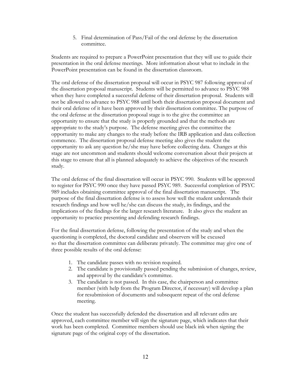5. Final determination of Pass/Fail of the oral defense by the dissertation committee.

Students are required to prepare a PowerPoint presentation that they will use to guide their presentation in the oral defense meetings. More information about what to include in the PowerPoint presentation can be found in the dissertation classroom.

The oral defense of the dissertation proposal will occur in PSYC 987 following approval of the dissertation proposal manuscript. Students will be permitted to advance to PSYC 988 when they have completed a successful defense of their dissertation proposal. Students will not be allowed to advance to PSYC 988 until both their dissertation proposal document and their oral defense of it have been approved by their dissertation committee. The purpose of the oral defense at the dissertation proposal stage is to the give the committee an opportunity to ensure that the study is properly grounded and that the methods are appropriate to the study's purpose. The defense meeting gives the committee the opportunity to make any changes to the study before the IRB application and data collection commence. The dissertation proposal defense meeting also gives the student the opportunity to ask any question he/she may have before collecting data. Changes at this stage are not uncommon and students should welcome conversation about their projects at this stage to ensure that all is planned adequately to achieve the objectives of the research study.

The oral defense of the final dissertation will occur in PSYC 990. Students will be approved to register for PSYC 990 once they have passed PSYC 989. Successful completion of PSYC 989 includes obtaining committee approval of the final dissertation manuscript. The purpose of the final dissertation defense is to assess how well the student understands their research findings and how well he/she can discuss the study, its findings, and the implications of the findings for the larger research literature. It also gives the student an opportunity to practice presenting and defending research findings.

For the final dissertation defense, following the presentation of the study and when the questioning is completed, the doctoral candidate and observers will be excused so that the dissertation committee can deliberate privately. The committee may give one of three possible results of the oral defense:

- 1. The candidate passes with no revision required.
- 2. The candidate is provisionally passed pending the submission of changes, review, and approval by the candidate's committee.
- 3. The candidate is not passed. In this case, the chairperson and committee member (with help from the Program Director, if necessary) will develop a plan for resubmission of documents and subsequent repeat of the oral defense meeting.

Once the student has successfully defended the dissertation and all relevant edits are approved, each committee member will sign the signature page, which indicates that their work has been completed. Committee members should use black ink when signing the signature page of the original copy of the dissertation.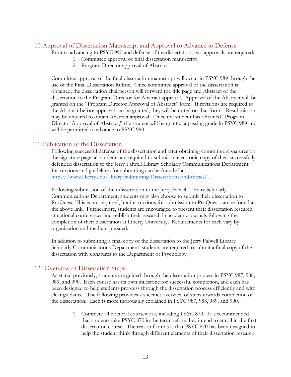# 10.Approval of Dissertation Manuscript and Approval to Advance to Defense

Prior to advancing to PSYC 990 and defense of the dissertation, two approvals are required:

- 1. Committee approval of final dissertation manuscript
- 2. Program Director approval of Abstract

Committee approval of the final dissertation manuscript will occur in PSYC 989 through the use of the Final Dissertation Rubric. Once committee approval of the dissertation is obtained, the dissertation chairperson will forward the title page and Abstract of the dissertation to the Program Director for Abstract approval. Approval of the Abstract will be granted on the "Program Director Approval of Abstract" form. If revisions are required to the Abstract before approval can be granted, they will be noted on that form. Resubmission may be required to obtain Abstract approval. Once the student has obtained "Program Director Approval of Abstract," the student will be granted a passing grade in PSYC 989 and will be permitted to advance to PSYC 990.

# 11.Publication of the Dissertation

Following successful defense of the dissertation and after obtaining committee signatures on the signature page, all students are required to submit an electronic copy of their successfully defended dissertation to the Jerry Falwell Library Scholarly Communications Department. Instructions and guidelines for submitting can be founded at https://www.liberty.edu/library/submitting-Dissertations-and-theses/ .

Following submission of their dissertation to the Jerry Falwell Library Scholarly Communications Department, students may also choose to submit their dissertation to ProQuest. This is not required, but instructions for submission to ProQuest can be found at the above link. Furthermore, students are encouraged to present their dissertation research at national conferences and publish their research in academic journals following the completion of their dissertation at Liberty University. Requirements for each vary by organization and medium pursued.

In addition to submitting a final copy of the dissertation to the Jerry Falwell Library Scholarly Communications Department, students are required to submit a final copy of the dissertation with signatures to the Department of Psychology.

# 12. Overview of Dissertation Steps

As stated previously, students are guided through the dissertation process in PSYC 987, 988, 989, and 990. Each course has its own milestone for successful completion, and each has been designed to help students progress through the dissertation process efficiently and with clear guidance. The following provides a succinct overview of steps towards completion of the dissertation. Each is more thoroughly explained in PSYC 987, 988, 989, and 990.

> 1. Complete all doctoral coursework, including PSYC 870. It is recommended that students take PSYC 870 in the term before they intend to enroll in the first dissertation course. The reason for this is that PSYC 870 has been designed to help the student think through different elements of their dissertation research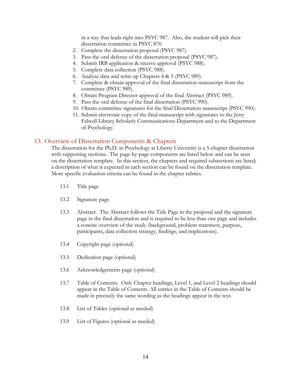in a way that leads right into PSYC 987. Also, the student will pick their dissertation committee in PSYC 870.

- 2. Complete the dissertation proposal (PSYC 987).
- 3. Pass the oral defense of the dissertation proposal (PSYC 987).
- 4. Submit IRB application & receive approval (PSYC 988).
- 5. Complete data collection (PSYC 988).
- 6. Analyze data and write up Chapters 4 & 5 (PSYC 989).
- 7. Complete & obtain approval of the final dissertation manuscript from the committee (PSYC 989).
- 8. Obtain Program Director approval of the final Abstract (PSYC 989).
- 9. Pass the oral defense of the final dissertation (PSYC 990).
- 10. Obtain committee signatures for the final Dissertation manuscript (PSYC 990).
- 11. Submit electronic copy of the final manuscript with signatures to the Jerry Falwell Library Scholarly Communications Department and to the Department of Psychology.

#### 13. Overview of Dissertation Components & Chapters

The dissertation for the Ph.D. in Psychology at Liberty University is a 5-chapter dissertation with supporting sections. The page-by-page components are listed below and can be seen on the dissertation template. In this section, the chapters and required subsections are listed; a description of what is expected in each section can be found on the dissertation template. More specific evaluation criteria can be found in the chapter rubrics.

- 13.1 Title page
- 13.2 Signature page
- 13.3 Abstract. The Abstract follows the Title Page in the proposal and the signature page in the final dissertation and is required to be less than one page and includes a concise overview of the study (background, problem statement, purpose, participants, data collection strategy, findings, and implications).
- 13.4 Copyright page (optional)
- 13.5 Dedication page (optional)
- 13.6 Acknowledgements page (optional)
- 13.7 Table of Contents. Only Chapter headings, Level 1, and Level 2 headings should appear in the Table of Contents. All entries in the Table of Contents should be made in precisely the same wording as the headings appear in the text.
- 13.8 List of Tables (optional as needed)
- 13.9 List of Figures (optional as needed)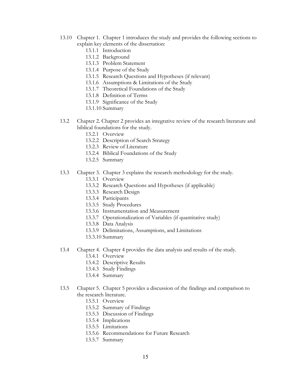- 13.10 Chapter 1. Chapter 1 introduces the study and provides the following sections to explain key elements of the dissertation:
	- 13.1.1 Introduction
	- 13.1.2 Background
	- 13.1.3 Problem Statement
	- 13.1.4 Purpose of the Study
	- 13.1.5 Research Questions and Hypotheses (if relevant)
	- 13.1.6 Assumptions & Limitations of the Study
	- 13.1.7 Theoretical Foundations of the Study
	- 13.1.8 Definition of Terms
	- 13.1.9 Significance of the Study
	- 13.1.10 Summary
- 13.2 Chapter 2. Chapter 2 provides an integrative review of the research literature and biblical foundations for the study.
	- 13.2.1 Overview
	- 13.2.2 Description of Search Strategy
	- 13.2.3 Review of Literature
	- 13.2.4 Biblical Foundations of the Study
	- 13.2.5 Summary
- 13.3 Chapter 3. Chapter 3 explains the research methodology for the study.
	- 13.3.1 Overview
	- 13.3.2 Research Questions and Hypotheses (if applicable)
	- 13.3.3 Research Design
	- 13.3.4 Participants
	- 13.3.5 Study Procedures
	- 13.3.6 Instrumentation and Measurement
	- 13.3.7 Operationalization of Variables (if quantitative study)
	- 13.3.8 Data Analysis
	- 13.3.9 Delimitations, Assumptions, and Limitations
	- 13.3.10 Summary
- 13.4 Chapter 4. Chapter 4 provides the data analysis and results of the study.
	- 13.4.1 Overview
	- 13.4.2 Descriptive Results
	- 13.4.3 Study Findings
	- 13.4.4 Summary
- 13.5 Chapter 5. Chapter 5 provides a discussion of the findings and comparison to the research literature.
	- 13.5.1 Overview
	- 13.5.2 Summary of Findings
	- 13.5.3 Discussion of Findings
	- 13.5.4 Implications
	- 13.5.5 Limitations
	- 13.5.6 Recommendations for Future Research
	- 13.5.7 Summary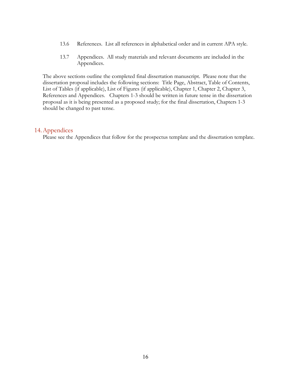- 13.6 References. List all references in alphabetical order and in current APA style.
- 13.7 Appendices. All study materials and relevant documents are included in the Appendices.

The above sections outline the completed final dissertation manuscript. Please note that the dissertation proposal includes the following sections: Title Page, Abstract, Table of Contents, List of Tables (if applicable), List of Figures (if applicable), Chapter 1, Chapter 2, Chapter 3, References and Appendices. Chapters 1-3 should be written in future tense in the dissertation proposal as it is being presented as a proposed study; for the final dissertation, Chapters 1-3 should be changed to past tense.

#### 14.Appendices

Please see the Appendices that follow for the prospectus template and the dissertation template.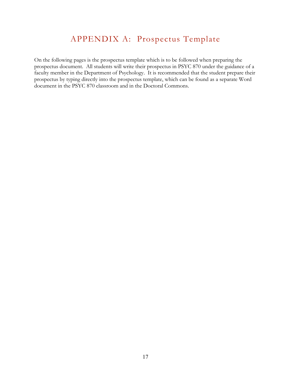# APPENDIX A: Prospectus Template

On the following pages is the prospectus template which is to be followed when preparing the prospectus document. All students will write their prospectus in PSYC 870 under the guidance of a faculty member in the Department of Psychology. It is recommended that the student prepare their prospectus by typing directly into the prospectus template, which can be found as a separate Word document in the PSYC 870 classroom and in the Doctoral Commons.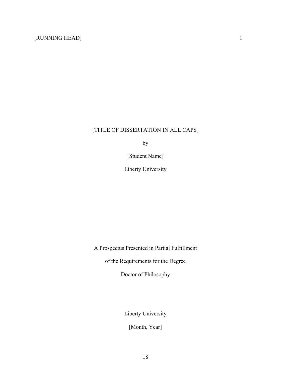# [TITLE OF DISSERTATION IN ALL CAPS]

by

[Student Name]

Liberty University

A Prospectus Presented in Partial Fulfillment

of the Requirements for the Degree

Doctor of Philosophy

Liberty University

[Month, Year]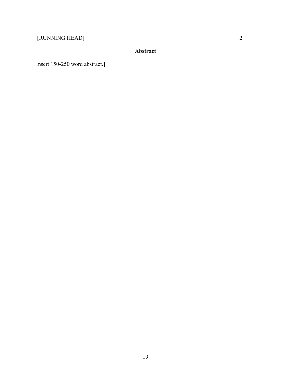[RUNNING HEAD] 2

# **Abstract**

[Insert 150-250 word abstract.]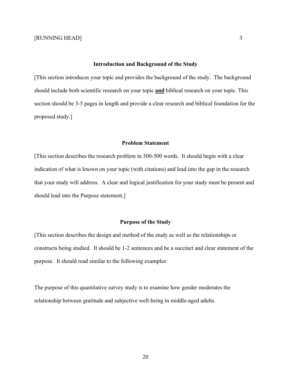#### **Introduction and Background of the Study**

[This section introduces your topic and provides the background of the study. The background should include both scientific research on your topic **and** biblical research on your topic. This section should be 3-5 pages in length and provide a clear research and biblical foundation for the proposed study.]

#### **Problem Statement**

[This section describes the research problem in 300-500 words. It should begin with a clear indication of what is known on your topic (with citations) and lead into the gap in the research that your study will address. A clear and logical justification for your study must be present and should lead into the Purpose statement.]

#### **Purpose of the Study**

[This section describes the design and method of the study as well as the relationships or constructs being studied. It should be 1-2 sentences and be a succinct and clear statement of the purpose. It should read similar to the following examples:

The purpose of this quantitative survey study is to examine how gender moderates the relationship between gratitude and subjective well-being in middle-aged adults.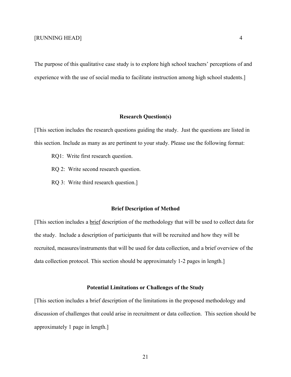The purpose of this qualitative case study is to explore high school teachers' perceptions of and experience with the use of social media to facilitate instruction among high school students.]

#### **Research Question(s)**

[This section includes the research questions guiding the study. Just the questions are listed in this section. Include as many as are pertinent to your study. Please use the following format:

- RQ1: Write first research question.
- RQ 2: Write second research question.
- RQ 3: Write third research question.]

#### **Brief Description of Method**

[This section includes a brief description of the methodology that will be used to collect data for the study. Include a description of participants that will be recruited and how they will be recruited, measures/instruments that will be used for data collection, and a brief overview of the data collection protocol. This section should be approximately 1-2 pages in length.]

#### **Potential Limitations or Challenges of the Study**

[This section includes a brief description of the limitations in the proposed methodology and discussion of challenges that could arise in recruitment or data collection. This section should be approximately 1 page in length.]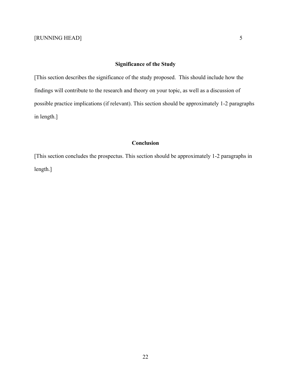# **Significance of the Study**

[This section describes the significance of the study proposed. This should include how the findings will contribute to the research and theory on your topic, as well as a discussion of possible practice implications (if relevant). This section should be approximately 1-2 paragraphs in length.]

## **Conclusion**

[This section concludes the prospectus. This section should be approximately 1-2 paragraphs in length.]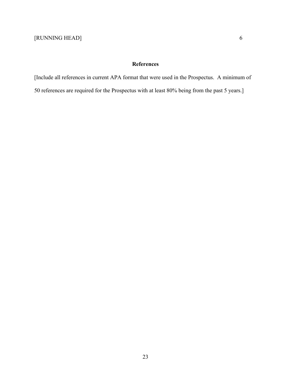# **References**

[Include all references in current APA format that were used in the Prospectus. A minimum of

50 references are required for the Prospectus with at least 80% being from the past 5 years.]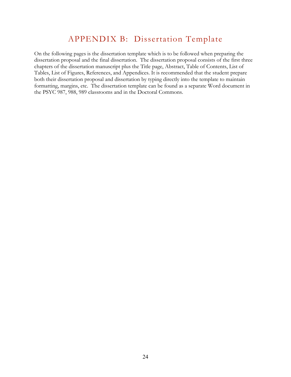# APPENDIX B: Dissertation Template

On the following pages is the dissertation template which is to be followed when preparing the dissertation proposal and the final dissertation. The dissertation proposal consists of the first three chapters of the dissertation manuscript plus the Title page, Abstract, Table of Contents, List of Tables, List of Figures, References, and Appendices. It is recommended that the student prepare both their dissertation proposal and dissertation by typing directly into the template to maintain formatting, margins, etc. The dissertation template can be found as a separate Word document in the PSYC 987, 988, 989 classrooms and in the Doctoral Commons.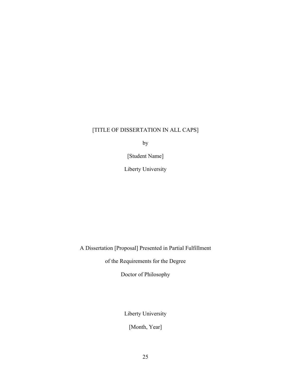# [TITLE OF DISSERTATION IN ALL CAPS]

by

[Student Name]

Liberty University

A Dissertation [Proposal] Presented in Partial Fulfillment

of the Requirements for the Degree

Doctor of Philosophy

Liberty University

[Month, Year]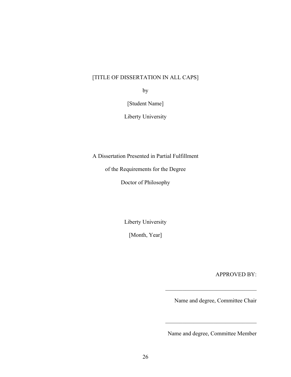# [TITLE OF DISSERTATION IN ALL CAPS]

by

[Student Name]

Liberty University

A Dissertation Presented in Partial Fulfillment

of the Requirements for the Degree

Doctor of Philosophy

Liberty University

[Month, Year]

APPROVED BY:

Name and degree, Committee Chair

Name and degree, Committee Member

 $\mathcal{L}=\mathcal{L}=\mathcal{L}=\mathcal{L}=\mathcal{L}=\mathcal{L}=\mathcal{L}=\mathcal{L}=\mathcal{L}=\mathcal{L}=\mathcal{L}=\mathcal{L}=\mathcal{L}=\mathcal{L}=\mathcal{L}=\mathcal{L}=\mathcal{L}=\mathcal{L}=\mathcal{L}=\mathcal{L}=\mathcal{L}=\mathcal{L}=\mathcal{L}=\mathcal{L}=\mathcal{L}=\mathcal{L}=\mathcal{L}=\mathcal{L}=\mathcal{L}=\mathcal{L}=\mathcal{L}=\mathcal{L}=\mathcal{L}=\mathcal{L}=\mathcal{L}=\mathcal{L}=\mathcal{$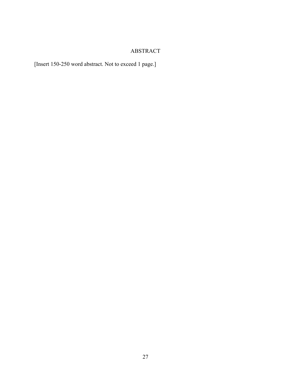# ABSTRACT

[Insert 150-250 word abstract. Not to exceed 1 page.]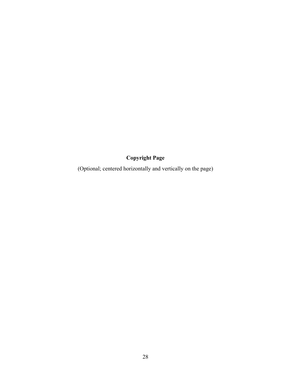# **Copyright Page**

(Optional; centered horizontally and vertically on the page)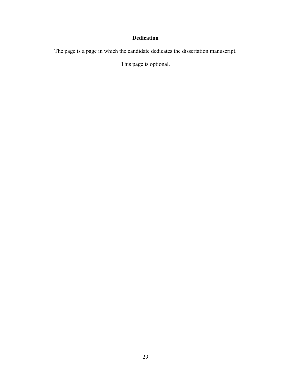# **Dedication**

The page is a page in which the candidate dedicates the dissertation manuscript.

This page is optional.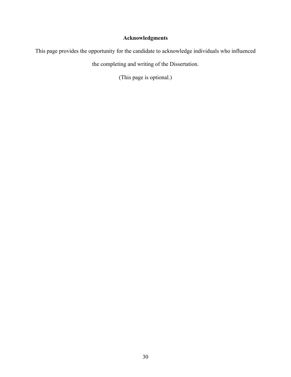# **Acknowledgments**

This page provides the opportunity for the candidate to acknowledge individuals who influenced

the completing and writing of the Dissertation.

(This page is optional.)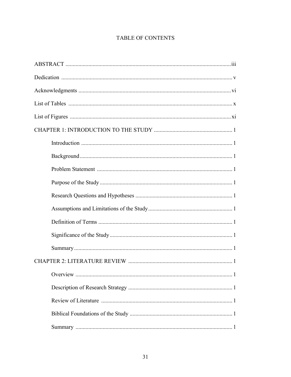# TABLE OF CONTENTS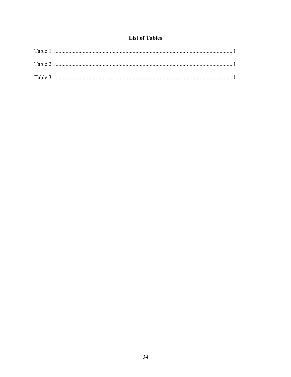# **List of Tables**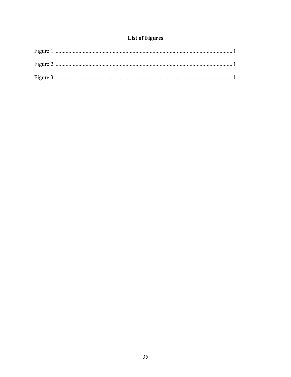# **List of Figures**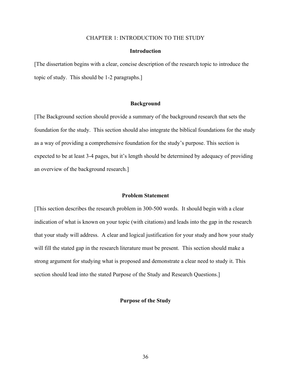#### CHAPTER 1: INTRODUCTION TO THE STUDY

#### **Introduction**

[The dissertation begins with a clear, concise description of the research topic to introduce the topic of study. This should be 1-2 paragraphs.]

#### **Background**

[The Background section should provide a summary of the background research that sets the foundation for the study. This section should also integrate the biblical foundations for the study as a way of providing a comprehensive foundation for the study's purpose. This section is expected to be at least 3-4 pages, but it's length should be determined by adequacy of providing an overview of the background research.]

#### **Problem Statement**

[This section describes the research problem in 300-500 words. It should begin with a clear indication of what is known on your topic (with citations) and leads into the gap in the research that your study will address. A clear and logical justification for your study and how your study will fill the stated gap in the research literature must be present. This section should make a strong argument for studying what is proposed and demonstrate a clear need to study it. This section should lead into the stated Purpose of the Study and Research Questions.]

#### **Purpose of the Study**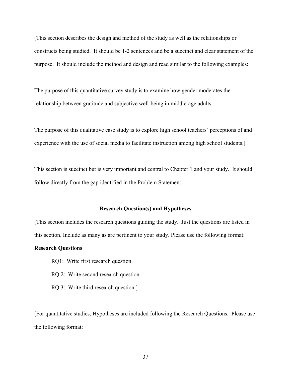[This section describes the design and method of the study as well as the relationships or constructs being studied. It should be 1-2 sentences and be a succinct and clear statement of the purpose. It should include the method and design and read similar to the following examples:

The purpose of this quantitative survey study is to examine how gender moderates the relationship between gratitude and subjective well-being in middle-age adults.

The purpose of this qualitative case study is to explore high school teachers' perceptions of and experience with the use of social media to facilitate instruction among high school students.]

This section is succinct but is very important and central to Chapter 1 and your study. It should follow directly from the gap identified in the Problem Statement.

#### **Research Question(s) and Hypotheses**

[This section includes the research questions guiding the study. Just the questions are listed in this section. Include as many as are pertinent to your study. Please use the following format:

#### **Research Questions**

- RQ1: Write first research question.
- RQ 2: Write second research question.
- RQ 3: Write third research question.]

[For quantitative studies, Hypotheses are included following the Research Questions. Please use the following format: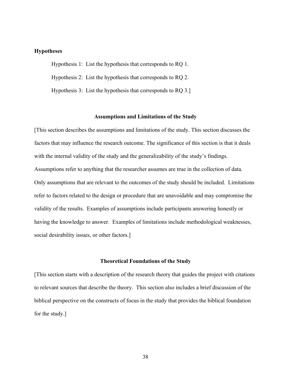#### **Hypotheses**

Hypothesis 1: List the hypothesis that corresponds to RQ 1. Hypothesis 2: List the hypothesis that corresponds to RQ 2.

Hypothesis 3: List the hypothesis that corresponds to RQ 3.]

#### **Assumptions and Limitations of the Study**

[This section describes the assumptions and limitations of the study. This section discusses the factors that may influence the research outcome. The significance of this section is that it deals with the internal validity of the study and the generalizability of the study's findings. Assumptions refer to anything that the researcher assumes are true in the collection of data. Only assumptions that are relevant to the outcomes of the study should be included. Limitations refer to factors related to the design or procedure that are unavoidable and may compromise the validity of the results. Examples of assumptions include participants answering honestly or having the knowledge to answer. Examples of limitations include methodological weaknesses, social desirability issues, or other factors.]

#### **Theoretical Foundations of the Study**

[This section starts with a description of the research theory that guides the project with citations to relevant sources that describe the theory. This section also includes a brief discussion of the biblical perspective on the constructs of focus in the study that provides the biblical foundation for the study.]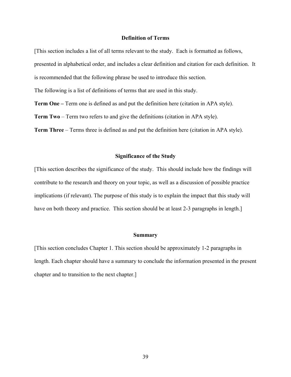#### **Definition of Terms**

[This section includes a list of all terms relevant to the study. Each is formatted as follows, presented in alphabetical order, and includes a clear definition and citation for each definition. It is recommended that the following phrase be used to introduce this section.

The following is a list of definitions of terms that are used in this study.

**Term One –** Term one is defined as and put the definition here (citation in APA style).

**Term Two** – Term two refers to and give the definitions (citation in APA style).

**Term Three** – Terms three is defined as and put the definition here (citation in APA style).

#### **Significance of the Study**

[This section describes the significance of the study. This should include how the findings will contribute to the research and theory on your topic, as well as a discussion of possible practice implications (if relevant). The purpose of this study is to explain the impact that this study will have on both theory and practice. This section should be at least 2-3 paragraphs in length.]

#### **Summary**

[This section concludes Chapter 1. This section should be approximately 1-2 paragraphs in length. Each chapter should have a summary to conclude the information presented in the present chapter and to transition to the next chapter.]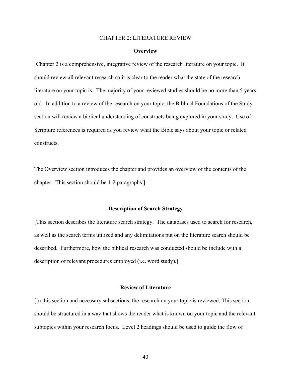#### CHAPTER 2: LITERATURE REVIEW

#### **Overview**

[Chapter 2 is a comprehensive, integrative review of the research literature on your topic. It should review all relevant research so it is clear to the reader what the state of the research literature on your topic is. The majority of your reviewed studies should be no more than 5 years old. In addition to a review of the research on your topic, the Biblical Foundations of the Study section will review a biblical understanding of constructs being explored in your study. Use of Scripture references is required as you review what the Bible says about your topic or related constructs.

The Overview section introduces the chapter and provides an overview of the contents of the chapter. This section should be 1-2 paragraphs.]

#### **Description of Search Strategy**

[This section describes the literature search strategy. The databases used to search for research, as well as the search terms utilized and any delimitations put on the literature search should be described. Furthermore, how the biblical research was conducted should be include with a description of relevant procedures employed (i.e. word study).]

#### **Review of Literature**

[In this section and necessary subsections, the research on your topic is reviewed. This section should be structured in a way that shows the reader what is known on your topic and the relevant subtopics within your research focus. Level 2 headings should be used to guide the flow of

40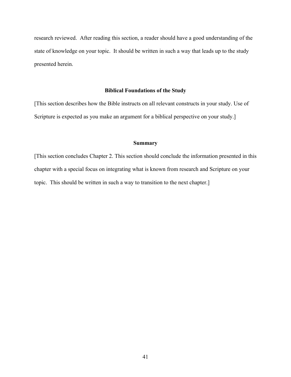research reviewed. After reading this section, a reader should have a good understanding of the state of knowledge on your topic. It should be written in such a way that leads up to the study presented herein.

#### **Biblical Foundations of the Study**

[This section describes how the Bible instructs on all relevant constructs in your study. Use of Scripture is expected as you make an argument for a biblical perspective on your study.]

#### **Summary**

[This section concludes Chapter 2. This section should conclude the information presented in this chapter with a special focus on integrating what is known from research and Scripture on your topic. This should be written in such a way to transition to the next chapter.]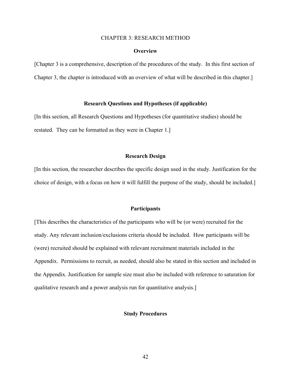#### CHAPTER 3: RESEARCH METHOD

#### **Overview**

[Chapter 3 is a comprehensive, description of the procedures of the study. In this first section of Chapter 3, the chapter is introduced with an overview of what will be described in this chapter.]

#### **Research Questions and Hypotheses (if applicable)**

[In this section, all Research Questions and Hypotheses (for quantitative studies) should be restated. They can be formatted as they were in Chapter 1.]

#### **Research Design**

[In this section, the researcher describes the specific design used in the study. Justification for the choice of design, with a focus on how it will fulfill the purpose of the study, should be included.]

#### **Participants**

[This describes the characteristics of the participants who will be (or were) recruited for the study. Any relevant inclusion/exclusions criteria should be included. How participants will be (were) recruited should be explained with relevant recruitment materials included in the Appendix. Permissions to recruit, as needed, should also be stated in this section and included in the Appendix. Justification for sample size must also be included with reference to saturation for qualitative research and a power analysis run for quantitative analysis.]

#### **Study Procedures**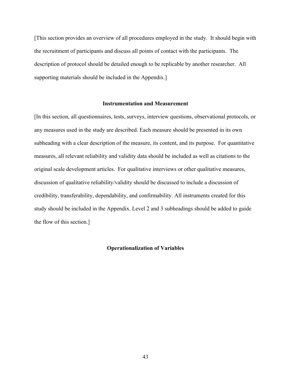[This section provides an overview of all procedures employed in the study. It should begin with the recruitment of participants and discuss all points of contact with the participants. The description of protocol should be detailed enough to be replicable by another researcher. All supporting materials should be included in the Appendix.]

#### **Instrumentation and Measurement**

[In this section, all questionnaires, tests, surveys, interview questions, observational protocols, or any measures used in the study are described. Each measure should be presented in its own subheading with a clear description of the measure, its content, and its purpose. For quantitative measures, all relevant reliability and validity data should be included as well as citations to the original scale development articles. For qualitative interviews or other qualitative measures, discussion of qualitative reliability/validity should be discussed to include a discussion of credibility, transferability, dependability, and confirmability. All instruments created for this study should be included in the Appendix. Level 2 and 3 subheadings should be added to guide the flow of this section.]

#### **Operationalization of Variables**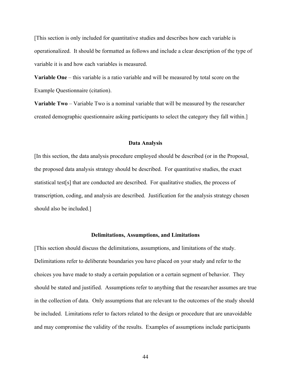[This section is only included for quantitative studies and describes how each variable is operationalized. It should be formatted as follows and include a clear description of the type of variable it is and how each variables is measured.

**Variable One** – this variable is a ratio variable and will be measured by total score on the Example Questionnaire (citation).

**Variable Two** – Variable Two is a nominal variable that will be measured by the researcher created demographic questionnaire asking participants to select the category they fall within.]

#### **Data Analysis**

[In this section, the data analysis procedure employed should be described (or in the Proposal, the proposed data analysis strategy should be described. For quantitative studies, the exact statistical test[s] that are conducted are described. For qualitative studies, the process of transcription, coding, and analysis are described. Justification for the analysis strategy chosen should also be included.]

#### **Delimitations, Assumptions, and Limitations**

[This section should discuss the delimitations, assumptions, and limitations of the study. Delimitations refer to deliberate boundaries you have placed on your study and refer to the choices you have made to study a certain population or a certain segment of behavior. They should be stated and justified. Assumptions refer to anything that the researcher assumes are true in the collection of data. Only assumptions that are relevant to the outcomes of the study should be included. Limitations refer to factors related to the design or procedure that are unavoidable and may compromise the validity of the results. Examples of assumptions include participants

44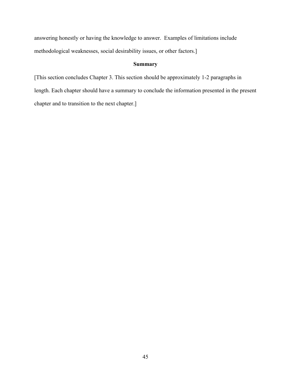answering honestly or having the knowledge to answer. Examples of limitations include methodological weaknesses, social desirability issues, or other factors.]

# **Summary**

[This section concludes Chapter 3. This section should be approximately 1-2 paragraphs in length. Each chapter should have a summary to conclude the information presented in the present chapter and to transition to the next chapter.]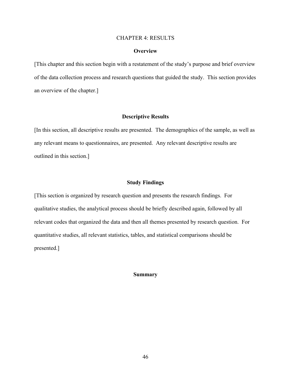#### CHAPTER 4: RESULTS

#### **Overview**

[This chapter and this section begin with a restatement of the study's purpose and brief overview of the data collection process and research questions that guided the study. This section provides an overview of the chapter.]

#### **Descriptive Results**

[In this section, all descriptive results are presented. The demographics of the sample, as well as any relevant means to questionnaires, are presented. Any relevant descriptive results are outlined in this section.]

#### **Study Findings**

[This section is organized by research question and presents the research findings. For qualitative studies, the analytical process should be briefly described again, followed by all relevant codes that organized the data and then all themes presented by research question. For quantitative studies, all relevant statistics, tables, and statistical comparisons should be presented.]

#### **Summary**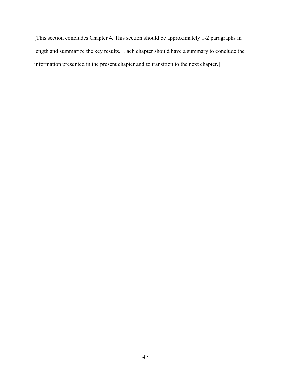[This section concludes Chapter 4. This section should be approximately 1-2 paragraphs in length and summarize the key results. Each chapter should have a summary to conclude the information presented in the present chapter and to transition to the next chapter.]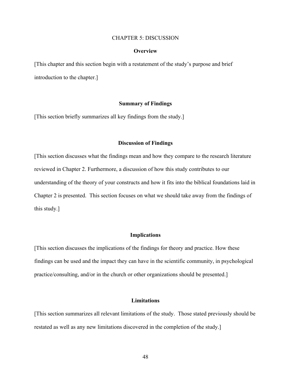#### CHAPTER 5: DISCUSSION

#### **Overview**

[This chapter and this section begin with a restatement of the study's purpose and brief introduction to the chapter.]

#### **Summary of Findings**

[This section briefly summarizes all key findings from the study.]

#### **Discussion of Findings**

[This section discusses what the findings mean and how they compare to the research literature reviewed in Chapter 2. Furthermore, a discussion of how this study contributes to our understanding of the theory of your constructs and how it fits into the biblical foundations laid in Chapter 2 is presented. This section focuses on what we should take away from the findings of this study.]

#### **Implications**

[This section discusses the implications of the findings for theory and practice. How these findings can be used and the impact they can have in the scientific community, in psychological practice/consulting, and/or in the church or other organizations should be presented.]

#### **Limitations**

[This section summarizes all relevant limitations of the study. Those stated previously should be restated as well as any new limitations discovered in the completion of the study.]

48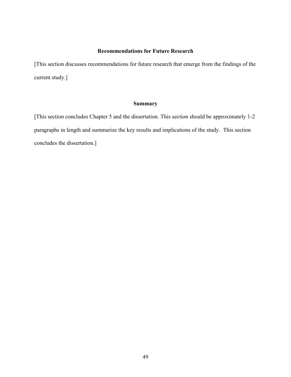# **Recommendations for Future Research**

[This section discusses recommendations for future research that emerge from the findings of the current study.]

## **Summary**

[This section concludes Chapter 5 and the dissertation. This section should be approximately 1-2 paragraphs in length and summarize the key results and implications of the study. This section concludes the dissertation.]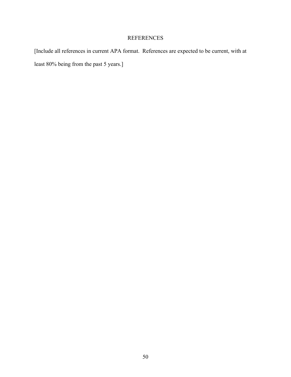# REFERENCES

[Include all references in current APA format. References are expected to be current, with at least 80% being from the past 5 years.]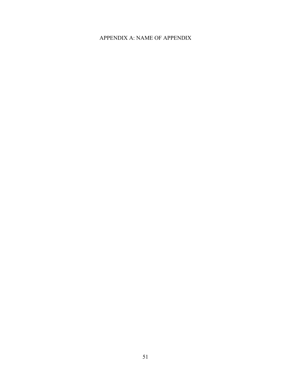# APPENDIX A: NAME OF APPENDIX